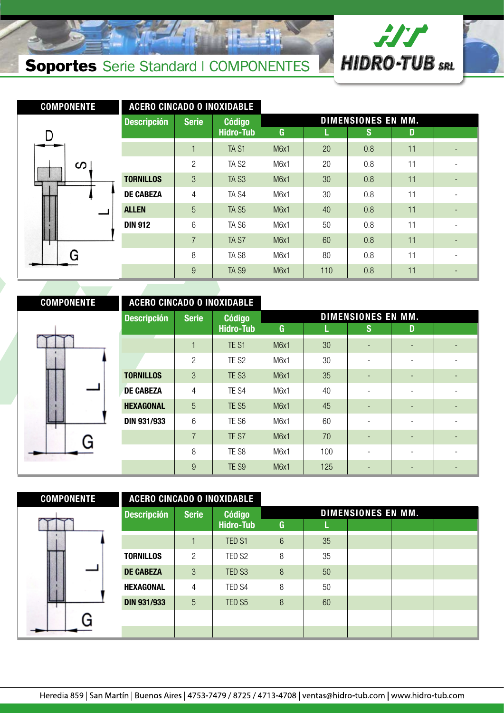

# Soportes Serie Standard | COMPONENTES

| <b>COMPONENTE</b> | <b>ACERO CINCADO O INOXIDABLE</b> |                |                   |                           |     |     |    |  |  |  |  |
|-------------------|-----------------------------------|----------------|-------------------|---------------------------|-----|-----|----|--|--|--|--|
|                   | <b>Descripción</b>                | <b>Serie</b>   | <b>Código</b>     | <b>DIMENSIONES EN MM.</b> |     |     |    |  |  |  |  |
|                   |                                   |                | <b>Hidro-Tub</b>  | G                         | L.  | S   | D  |  |  |  |  |
|                   |                                   |                | TA <sub>S1</sub>  | M6x1                      | 20  | 0.8 | 11 |  |  |  |  |
| ၯ                 |                                   | $\overline{2}$ | TA <sub>S2</sub>  | M6x1                      | 20  | 0.8 | 11 |  |  |  |  |
|                   | <b>TORNILLOS</b>                  | 3              | TA <sub>S3</sub>  | M <sub>6</sub> x1         | 30  | 0.8 | 11 |  |  |  |  |
|                   | <b>DE CABEZA</b>                  | $\overline{4}$ | TA <sub>S4</sub>  | M6x1                      | 30  | 0.8 | 11 |  |  |  |  |
|                   | <b>ALLEN</b>                      | 5              | TA <sub>S5</sub>  | M6x1                      | 40  | 0.8 | 11 |  |  |  |  |
|                   | <b>DIN 912</b>                    | 6              | TA S <sub>6</sub> | M6x1                      | 50  | 0.8 | 11 |  |  |  |  |
|                   |                                   | $\overline{7}$ | TA <sub>S7</sub>  | M6x1                      | 60  | 0.8 | 11 |  |  |  |  |
|                   |                                   | 8              | TA <sub>S8</sub>  | M6x1                      | 80  | 0.8 | 11 |  |  |  |  |
|                   |                                   | 9              | TA <sub>S9</sub>  | M6x1                      | 110 | 0.8 | 11 |  |  |  |  |

#### **COMPONENTE ACERO CINCADO O INOXIDABLE**

|                | <b>Descripción</b> | <b>Serie</b>   | <b>Código</b>    |                   |     | <b>DIMENSIONES EN MM.</b> |   |  |
|----------------|--------------------|----------------|------------------|-------------------|-----|---------------------------|---|--|
|                |                    |                | <b>Hidro-Tub</b> | G                 | L.  | S                         | D |  |
|                |                    |                | TE <sub>S1</sub> | M6x1              | 30  |                           |   |  |
|                |                    | $\overline{2}$ | TE <sub>S2</sub> | M6x1              | 30  |                           |   |  |
|                | <b>TORNILLOS</b>   | 3              | TE <sub>S3</sub> | M6x1              | 35  |                           |   |  |
|                | <b>DE CABEZA</b>   | $\overline{4}$ | TE <sub>S4</sub> | M6x1              | 40  |                           |   |  |
|                | <b>HEXAGONAL</b>   | $\overline{5}$ | TE <sub>S5</sub> | M6x1              | 45  |                           |   |  |
|                | <b>DIN 931/933</b> | 6              | TE S6            | M6x1              | 60  |                           |   |  |
|                |                    | $\overline{7}$ | TE S7            | M <sub>6</sub> x1 | 70  |                           |   |  |
| $\overline{a}$ |                    | 8              | TE <sub>S8</sub> | M6x1              | 100 |                           |   |  |
|                |                    | 9              | TE <sub>S9</sub> | M6x1              | 125 |                           |   |  |

| <b>COMPONENTE</b> | <b>ACERO CINCADO O INOXIDABLE</b> |                |                    |                           |    |  |  |  |  |  |  |
|-------------------|-----------------------------------|----------------|--------------------|---------------------------|----|--|--|--|--|--|--|
|                   | <b>Descripción</b>                | <b>Serie</b>   | <b>Código</b>      | <b>DIMENSIONES EN MM.</b> |    |  |  |  |  |  |  |
|                   |                                   |                | <b>Hidro-Tub</b>   | G                         | L  |  |  |  |  |  |  |
|                   |                                   |                | TED S1             | $6\phantom{1}$            | 35 |  |  |  |  |  |  |
|                   | <b>TORNILLOS</b>                  | $\overline{2}$ | TED S <sub>2</sub> | 8                         | 35 |  |  |  |  |  |  |
|                   | <b>DE CABEZA</b>                  | 3              | TED S <sub>3</sub> | 8                         | 50 |  |  |  |  |  |  |
|                   | <b>HEXAGONAL</b>                  | 4              | TED S4             | 8                         | 50 |  |  |  |  |  |  |
|                   | <b>DIN 931/933</b>                | 5              | TED S <sub>5</sub> | 8                         | 60 |  |  |  |  |  |  |
|                   |                                   |                |                    |                           |    |  |  |  |  |  |  |
|                   |                                   |                |                    |                           |    |  |  |  |  |  |  |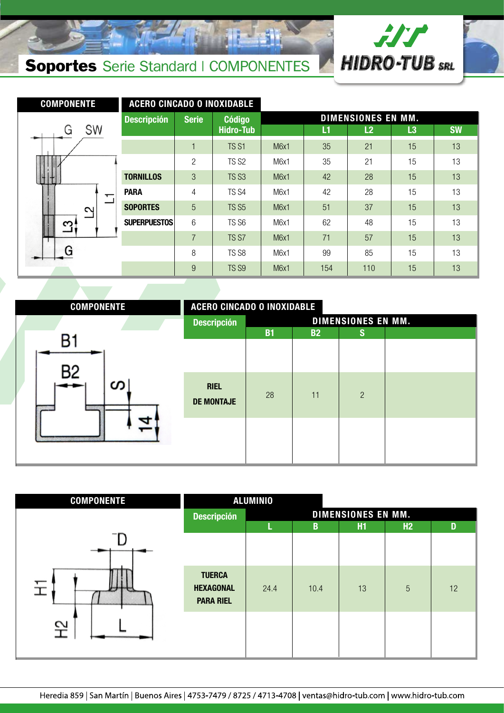

## Soportes Serie Standard | COMPONENTES

| <b>COMPONENTE</b>        |                     |   | <b>ACERO CINCADO O INOXIDABLE</b><br><b>Código</b><br><b>Serie</b><br><b>Hidro-Tub</b><br><b>TS S1</b><br>$\overline{c}$<br>TS <sub>S2</sub><br>3<br><b>TS S3</b><br>TS <sub>S4</sub><br>4<br>5<br><b>TS S5</b><br>6<br>TS <sub>S6</sub><br>$\overline{7}$<br>TS <sub>S7</sub> |                           |     |     |    |           |  |  |  |
|--------------------------|---------------------|---|--------------------------------------------------------------------------------------------------------------------------------------------------------------------------------------------------------------------------------------------------------------------------------|---------------------------|-----|-----|----|-----------|--|--|--|
|                          | <b>Descripción</b>  |   |                                                                                                                                                                                                                                                                                | <b>DIMENSIONES EN MM.</b> |     |     |    |           |  |  |  |
| <b>SW</b><br>G           |                     |   |                                                                                                                                                                                                                                                                                |                           | L1  | L2  | L3 | <b>SW</b> |  |  |  |
|                          |                     |   |                                                                                                                                                                                                                                                                                | M <sub>6</sub> x1         | 35  | 21  | 15 | 13        |  |  |  |
|                          |                     |   |                                                                                                                                                                                                                                                                                | M6x1                      | 35  | 21  | 15 | 13        |  |  |  |
|                          | <b>TORNILLOS</b>    |   |                                                                                                                                                                                                                                                                                | M <sub>6</sub> x1         | 42  | 28  | 15 | 13        |  |  |  |
| $\overline{\phantom{0}}$ | <b>PARA</b>         |   |                                                                                                                                                                                                                                                                                | M6x1                      | 42  | 28  | 15 | 13        |  |  |  |
| Ņ                        | <b>SOPORTES</b>     |   |                                                                                                                                                                                                                                                                                | M <sub>6</sub> x1         | 51  | 37  | 15 | 13        |  |  |  |
| ا رم                     | <b>SUPERPUESTOS</b> |   |                                                                                                                                                                                                                                                                                | M6x1                      | 62  | 48  | 15 | 13        |  |  |  |
|                          |                     |   |                                                                                                                                                                                                                                                                                | M6x1                      | 71  | 57  | 15 | 13        |  |  |  |
|                          |                     | 8 | TS <sub>S8</sub>                                                                                                                                                                                                                                                               | M6x1                      | 99  | 85  | 15 | 13        |  |  |  |
|                          |                     | 9 | TS <sub>S9</sub>                                                                                                                                                                                                                                                               | M <sub>6</sub> x1         | 154 | 110 | 15 | 13        |  |  |  |

| <b>COMPONENTE</b> | <b>ACERO CINCADO O INOXIDABLE</b> |                           |           |                |  |  |  |  |  |
|-------------------|-----------------------------------|---------------------------|-----------|----------------|--|--|--|--|--|
|                   | <b>Descripción</b>                | <b>DIMENSIONES EN MM.</b> |           |                |  |  |  |  |  |
|                   |                                   | <b>B1</b>                 | <b>B2</b> | 'S,            |  |  |  |  |  |
|                   |                                   |                           |           |                |  |  |  |  |  |
|                   |                                   |                           |           |                |  |  |  |  |  |
|                   |                                   |                           |           |                |  |  |  |  |  |
|                   | <b>RIEL</b>                       |                           |           |                |  |  |  |  |  |
|                   | <b>DE MONTAJE</b>                 |                           |           |                |  |  |  |  |  |
|                   |                                   |                           |           |                |  |  |  |  |  |
|                   |                                   |                           |           |                |  |  |  |  |  |
|                   |                                   |                           |           |                |  |  |  |  |  |
|                   |                                   |                           |           |                |  |  |  |  |  |
| $rac{B2}{1}$<br>ၯ |                                   | 28                        | 11        | $\overline{2}$ |  |  |  |  |  |

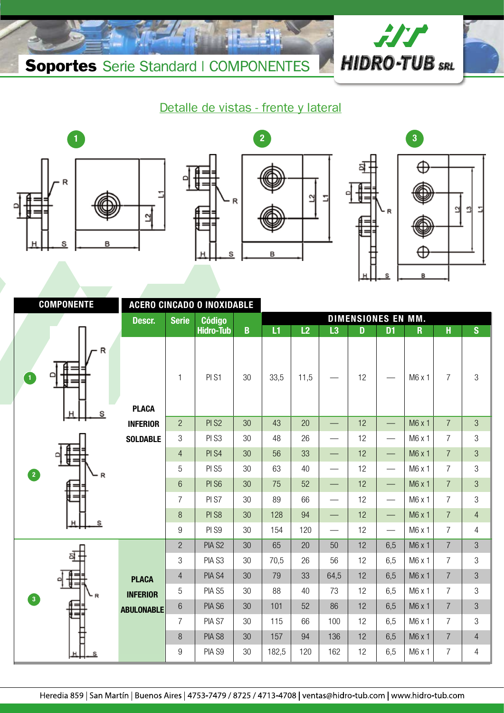



#### Detalle de vistas - frente y lateral







|                                   | <b>COMPONENTE</b> |                   | <b>ACERO CINCADO O INOXIDABLE</b><br><b>Código</b><br><b>Serie</b><br>Descr.<br><b>Hidro-Tub</b><br>PI S1<br>1<br><b>PLACA</b> |                    |             |       |      |                                  |                           |     |             |                |                         |
|-----------------------------------|-------------------|-------------------|--------------------------------------------------------------------------------------------------------------------------------|--------------------|-------------|-------|------|----------------------------------|---------------------------|-----|-------------|----------------|-------------------------|
|                                   |                   |                   |                                                                                                                                |                    |             |       |      |                                  | <b>DIMENSIONES EN MM.</b> |     |             |                |                         |
|                                   |                   |                   |                                                                                                                                |                    | $\mathbf B$ | L1    | L2   | L3                               | $\mathbf{D}$              | D1  | $\mathbf R$ | $\mathbf H$    | $\overline{\mathbf{s}}$ |
| $\mathbf{1}$                      | R                 |                   |                                                                                                                                |                    | 30          | 33,5  | 11,5 |                                  | 12                        |     | M6 x 1      | $\overline{7}$ | 3                       |
|                                   | s                 |                   |                                                                                                                                |                    |             |       |      |                                  |                           |     |             |                |                         |
|                                   |                   | <b>INFERIOR</b>   | $\overline{2}$                                                                                                                 | PI <sub>S2</sub>   | 30          | 43    | 20   |                                  | 12                        |     | M6x1        | $\overline{7}$ | 3                       |
|                                   |                   | <b>SOLDABLE</b>   | 3                                                                                                                              | PI <sub>S3</sub>   | 30          | 48    | 26   | $\overbrace{\phantom{12322111}}$ | 12                        |     | M6 x 1      | $\overline{7}$ | $\mathfrak{Z}$          |
|                                   |                   |                   | $\overline{4}$                                                                                                                 | PI S4              | 30          | 56    | 33   |                                  | 12                        |     | M6 x 1      | $\overline{7}$ | 3                       |
| 2                                 | - R               |                   | 5                                                                                                                              | PI <sub>S5</sub>   | 30          | 63    | 40   |                                  | 12                        |     | M6 x 1      | $\overline{7}$ | 3                       |
|                                   |                   |                   | $6\phantom{a}$                                                                                                                 | PI S <sub>6</sub>  | 30          | 75    | 52   |                                  | 12                        |     | M6 x 1      | $\overline{7}$ | $\mathfrak{S}$          |
|                                   |                   |                   | $\overline{7}$                                                                                                                 | PI S7              | 30          | 89    | 66   |                                  | 12                        |     | M6 x 1      | $\overline{7}$ | 3                       |
|                                   |                   |                   | 8                                                                                                                              | PI <sub>S8</sub>   | 30          | 128   | 94   |                                  | 12                        |     | M6 x 1      | $\overline{7}$ | $\overline{4}$          |
|                                   | s                 |                   | 9                                                                                                                              | PI S9              | 30          | 154   | 120  |                                  | 12                        |     | M6 x 1      | $\overline{7}$ | 4                       |
|                                   |                   |                   | $\overline{2}$                                                                                                                 | PIA S <sub>2</sub> | 30          | 65    | 20   | 50                               | 12                        | 6,5 | M6 x 1      | $\overline{7}$ | 3                       |
|                                   |                   |                   | 3                                                                                                                              | PIA S3             | 30          | 70,5  | 26   | 56                               | 12                        | 6,5 | M6 x 1      | 7              | 3                       |
|                                   |                   | <b>PLACA</b>      | $\overline{4}$                                                                                                                 | PIA S4             | 30          | 79    | 33   | 64,5                             | 12                        | 6,5 | M6 x 1      | $\overline{7}$ | 3                       |
| $\begin{bmatrix} 3 \end{bmatrix}$ | ⊾R                | <b>INFERIOR</b>   | 5                                                                                                                              | PIA S5             | 30          | 88    | 40   | 73                               | 12                        | 6,5 | M6 x 1      | $\overline{7}$ | 3                       |
|                                   |                   | <b>ABULONABLE</b> | $6\,$                                                                                                                          | PIA S6             | 30          | 101   | 52   | 86                               | 12                        | 6,5 | M6 x 1      | $\overline{7}$ | $\sqrt{3}$              |
|                                   |                   |                   | $\overline{7}$                                                                                                                 | PIA S7             | 30          | 115   | 66   | 100                              | 12                        | 6,5 | M6 x 1      | $\overline{7}$ | 3                       |
|                                   | F                 |                   | 8                                                                                                                              | PIA S8             | 30          | 157   | 94   | 136                              | 12                        | 6,5 | M6 x 1      | $\overline{7}$ | $\overline{4}$          |
|                                   |                   |                   | 9                                                                                                                              | PIA S9             | 30          | 182,5 | 120  | 162                              | 12                        | 6,5 | M6 x 1      | $\overline{7}$ | $\overline{4}$          |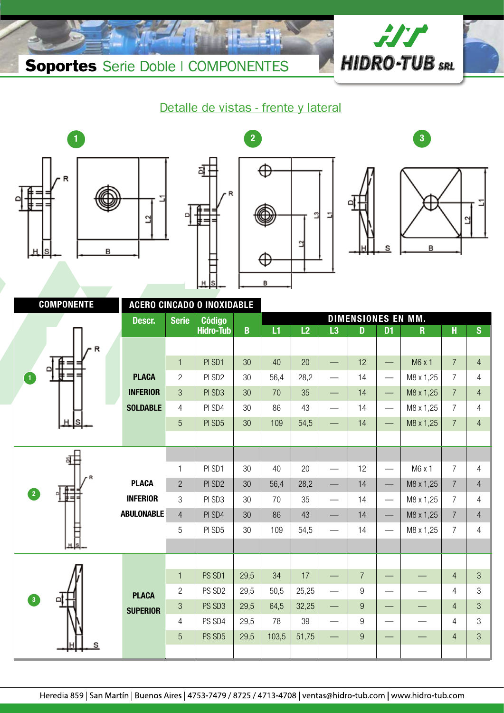



#### Detalle de vistas - frente y lateral









|                                  | <b>COMPONENTE</b> |                   |                | <b>ACERO CINCADO O INOXIDABLE</b> |              |       |       |                          |                           |                                  |              |                |                |
|----------------------------------|-------------------|-------------------|----------------|-----------------------------------|--------------|-------|-------|--------------------------|---------------------------|----------------------------------|--------------|----------------|----------------|
|                                  |                   | Descr.            | <b>Serie</b>   | <b>Código</b>                     |              |       |       |                          | <b>DIMENSIONES EN MM.</b> |                                  |              |                |                |
|                                  |                   |                   |                | <b>Hidro-Tub</b>                  | $\mathbf{B}$ | L1    | L2    | L3                       | D                         | D <sub>1</sub>                   | $\mathsf{R}$ | H              | S              |
|                                  |                   |                   |                |                                   |              |       |       |                          |                           |                                  |              |                |                |
|                                  |                   |                   | $\mathbf{1}$   | PI SD1                            | 30           | 40    | 20    |                          | 12                        | $\qquad \qquad -$                | M6 x 1       | $\overline{7}$ | $\overline{4}$ |
| $\mathbf{I}$                     |                   | <b>PLACA</b>      | $\overline{2}$ | PI SD <sub>2</sub>                | 30           | 56,4  | 28,2  |                          | 14                        |                                  | M8 x 1,25    | $\overline{7}$ | 4              |
|                                  |                   | <b>INFERIOR</b>   | 3              | PI SD <sub>3</sub>                | 30           | 70    | 35    |                          | 14                        | $\qquad \qquad -$                | M8 x 1,25    | $\overline{7}$ | $\overline{4}$ |
|                                  |                   | <b>SOLDABLE</b>   | $\overline{4}$ | PI SD4                            | 30           | 86    | 43    |                          | 14                        |                                  | M8 x 1,25    | $\overline{7}$ | 4              |
|                                  |                   |                   | 5              | PI SD5                            | 30           | 109   | 54,5  |                          | 14                        | $\qquad \qquad -$                | M8 x 1,25    | $\overline{7}$ | $\overline{4}$ |
|                                  |                   |                   |                |                                   |              |       |       |                          |                           |                                  |              |                |                |
|                                  |                   |                   |                |                                   |              |       |       |                          |                           |                                  |              |                |                |
|                                  |                   |                   | 1              | PI SD1                            | 30           | 40    | 20    |                          | 12                        | $\overbrace{\phantom{12322111}}$ | M6 x 1       | $\overline{7}$ | $\overline{4}$ |
|                                  |                   | <b>PLACA</b>      | $\overline{2}$ | PI SD <sub>2</sub>                | 30           | 56,4  | 28,2  | $\overline{\phantom{0}}$ | 14                        | $\qquad \qquad$                  | M8 x 1,25    | $\overline{7}$ | $\overline{4}$ |
| $\overline{\mathbf{2}}$          |                   | <b>INFERIOR</b>   | 3              | PI SD3                            | 30           | 70    | 35    |                          | 14                        | $\qquad \qquad \qquad$           | M8 x 1,25    | $\overline{7}$ | $\overline{4}$ |
|                                  |                   | <b>ABULONABLE</b> | $\overline{4}$ | PI SD4                            | 30           | 86    | 43    |                          | 14                        |                                  | M8 x 1,25    | $\overline{7}$ | $\overline{4}$ |
|                                  | E                 |                   | 5              | PI SD5                            | 30           | 109   | 54,5  |                          | 14                        | $\overbrace{\phantom{12322111}}$ | M8 x 1,25    | $\overline{7}$ | 4              |
|                                  |                   |                   |                |                                   |              |       |       |                          |                           |                                  |              |                |                |
|                                  |                   |                   |                |                                   |              |       |       |                          |                           |                                  |              |                |                |
|                                  |                   |                   | $\mathbf{1}$   | PS SD1                            | 29,5         | 34    | 17    |                          | $\overline{7}$            |                                  |              | $\overline{4}$ | 3              |
|                                  |                   | <b>PLACA</b>      | $\overline{2}$ | PS SD <sub>2</sub>                | 29,5         | 50,5  | 25,25 |                          | $9\,$                     |                                  |              | $\overline{4}$ | 3              |
| $\begin{array}{c} 3 \end{array}$ |                   | <b>SUPERIOR</b>   | 3              | PS SD <sub>3</sub>                | 29,5         | 64,5  | 32,25 | $\equiv$                 | 9                         |                                  |              | $\overline{4}$ | $\overline{3}$ |
|                                  |                   |                   | $\overline{4}$ | PS SD4                            | 29,5         | 78    | 39    |                          | $9\,$                     |                                  |              | 4              | 3              |
|                                  |                   |                   | 5              | PS SD5                            | 29,5         | 103,5 | 51,75 |                          | 9                         |                                  |              | $\overline{4}$ | 3              |
|                                  |                   |                   |                |                                   |              |       |       |                          |                           |                                  |              |                |                |